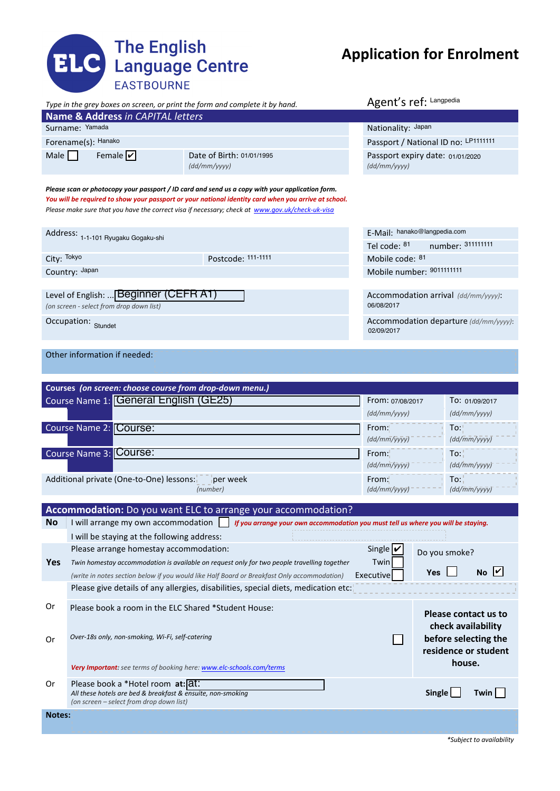

## **Application for Enrolment**

|                                       |                                                                                                         | Type in the grey boxes on screen, or print the form and complete it by hand.                                                                                                                                                                                                                               |                                                     | Agent's ref: Langpedia                           |               |                                                                    |  |  |
|---------------------------------------|---------------------------------------------------------------------------------------------------------|------------------------------------------------------------------------------------------------------------------------------------------------------------------------------------------------------------------------------------------------------------------------------------------------------------|-----------------------------------------------------|--------------------------------------------------|---------------|--------------------------------------------------------------------|--|--|
|                                       | Name & Address in CAPITAL letters                                                                       |                                                                                                                                                                                                                                                                                                            |                                                     |                                                  |               |                                                                    |  |  |
|                                       | Surname: Yamada                                                                                         |                                                                                                                                                                                                                                                                                                            |                                                     | Nationality: Japan                               |               |                                                                    |  |  |
|                                       | Forename(s): Hanako                                                                                     |                                                                                                                                                                                                                                                                                                            |                                                     | Passport / National ID no: LP1111111             |               |                                                                    |  |  |
| Male $\Box$                           | Female $\boxed{\checkmark}$                                                                             | Date of Birth: 01/01/1995<br>$\frac{dd}{mm/yyy}$                                                                                                                                                                                                                                                           |                                                     | Passport expiry date: 01/01/2020<br>(dd/mm/yyyy) |               |                                                                    |  |  |
|                                       |                                                                                                         | Please scan or photocopy your passport / ID card and send us a copy with your application form.<br>You will be required to show your passport or your national identity card when you arrive at school.<br>Please make sure that you have the correct visa if necessary; check at www.gov.uk/check-uk-visa |                                                     |                                                  |               |                                                                    |  |  |
|                                       |                                                                                                         |                                                                                                                                                                                                                                                                                                            |                                                     | E-Mail: hanako@langpedia.com                     |               |                                                                    |  |  |
|                                       | Address: 1-1-101 Ryugaku Gogaku-shi                                                                     |                                                                                                                                                                                                                                                                                                            |                                                     | number: 311111111<br>Tel code: 81                |               |                                                                    |  |  |
| City: Tokyo                           |                                                                                                         | Postcode: 111-1111                                                                                                                                                                                                                                                                                         |                                                     | Mobile code: 81                                  |               |                                                                    |  |  |
|                                       | Country: Japan                                                                                          |                                                                                                                                                                                                                                                                                                            |                                                     | Mobile number: 90111111111                       |               |                                                                    |  |  |
|                                       |                                                                                                         |                                                                                                                                                                                                                                                                                                            |                                                     |                                                  |               |                                                                    |  |  |
|                                       | Level of English: <b>Beginner</b> (CEFR A1)<br>(on screen - select from drop down list)                 |                                                                                                                                                                                                                                                                                                            | Accommodation arrival (dd/mm/yyyy):<br>06/08/2017   |                                                  |               |                                                                    |  |  |
|                                       | Occupation: Stundet                                                                                     |                                                                                                                                                                                                                                                                                                            | Accommodation departure (dd/mm/yyyy):<br>02/09/2017 |                                                  |               |                                                                    |  |  |
|                                       |                                                                                                         |                                                                                                                                                                                                                                                                                                            |                                                     |                                                  |               |                                                                    |  |  |
|                                       | Other information if needed:                                                                            |                                                                                                                                                                                                                                                                                                            |                                                     |                                                  |               |                                                                    |  |  |
|                                       |                                                                                                         |                                                                                                                                                                                                                                                                                                            |                                                     |                                                  |               |                                                                    |  |  |
|                                       |                                                                                                         | Courses (on screen: choose course from drop-down menu.)                                                                                                                                                                                                                                                    |                                                     |                                                  |               |                                                                    |  |  |
| Course Name 1: General English (GE25) |                                                                                                         |                                                                                                                                                                                                                                                                                                            |                                                     | From: 07/08/2017                                 |               | To: 01/09/2017                                                     |  |  |
|                                       |                                                                                                         |                                                                                                                                                                                                                                                                                                            |                                                     | (dd/mm/yyyy)                                     |               | (dd/mm/yyyy)                                                       |  |  |
|                                       | Course Name 2: Course:                                                                                  |                                                                                                                                                                                                                                                                                                            |                                                     | From:<br>(dd/mm/yyyy)                            |               | To:<br>(dd/mm/yyyy)                                                |  |  |
|                                       | Course Name 3: Course:                                                                                  |                                                                                                                                                                                                                                                                                                            |                                                     | From:                                            |               | To:                                                                |  |  |
|                                       |                                                                                                         |                                                                                                                                                                                                                                                                                                            |                                                     | (dd/mm/yyyy)                                     |               | (dd/mm/yyyy)                                                       |  |  |
|                                       | Additional private (One-to-One) lessons:                                                                |                                                                                                                                                                                                                                                                                                            | From:<br>(dd/mm/yyy)                                | To:<br>(dd/mm/yyyy)                              |               |                                                                    |  |  |
|                                       |                                                                                                         |                                                                                                                                                                                                                                                                                                            |                                                     |                                                  |               |                                                                    |  |  |
|                                       |                                                                                                         | Accommodation: Do you want ELC to arrange your accommodation?                                                                                                                                                                                                                                              |                                                     |                                                  |               |                                                                    |  |  |
| <b>No</b>                             | I will arrange my own accommodation                                                                     | If you arrange your own accommodation you must tell us where you will be staying.                                                                                                                                                                                                                          |                                                     |                                                  |               |                                                                    |  |  |
|                                       | I will be staying at the following address:                                                             |                                                                                                                                                                                                                                                                                                            |                                                     |                                                  |               |                                                                    |  |  |
|                                       | Please arrange homestay accommodation:                                                                  |                                                                                                                                                                                                                                                                                                            |                                                     | Single                                           | Do you smoke? |                                                                    |  |  |
| <b>Yes</b>                            |                                                                                                         | Twin homestay accommodation is available on request only for two people travelling together                                                                                                                                                                                                                |                                                     | Twin                                             |               | NoV                                                                |  |  |
|                                       |                                                                                                         | (write in notes section below if you would like Half Board or Breakfast Only accommodation)                                                                                                                                                                                                                |                                                     | Executive                                        | <b>Yes</b>    |                                                                    |  |  |
|                                       |                                                                                                         | Please give details of any allergies, disabilities, special diets, medication etc:                                                                                                                                                                                                                         |                                                     |                                                  |               |                                                                    |  |  |
| Or                                    |                                                                                                         | Please book a room in the ELC Shared *Student House:                                                                                                                                                                                                                                                       |                                                     |                                                  |               | Please contact us to                                               |  |  |
| Or                                    | Over-18s only, non-smoking, Wi-Fi, self-catering                                                        |                                                                                                                                                                                                                                                                                                            |                                                     |                                                  |               | check availability<br>before selecting the<br>residence or student |  |  |
|                                       |                                                                                                         | <b>Very Important:</b> see terms of booking here: www.elc-schools.com/terms                                                                                                                                                                                                                                |                                                     |                                                  |               | house.                                                             |  |  |
| Or                                    | Please book a *Hotel room at: <b>at:</b><br>All these hotels are bed & breakfast & ensuite, non-smoking |                                                                                                                                                                                                                                                                                                            |                                                     |                                                  | Single        | Twin                                                               |  |  |

**Notes:**